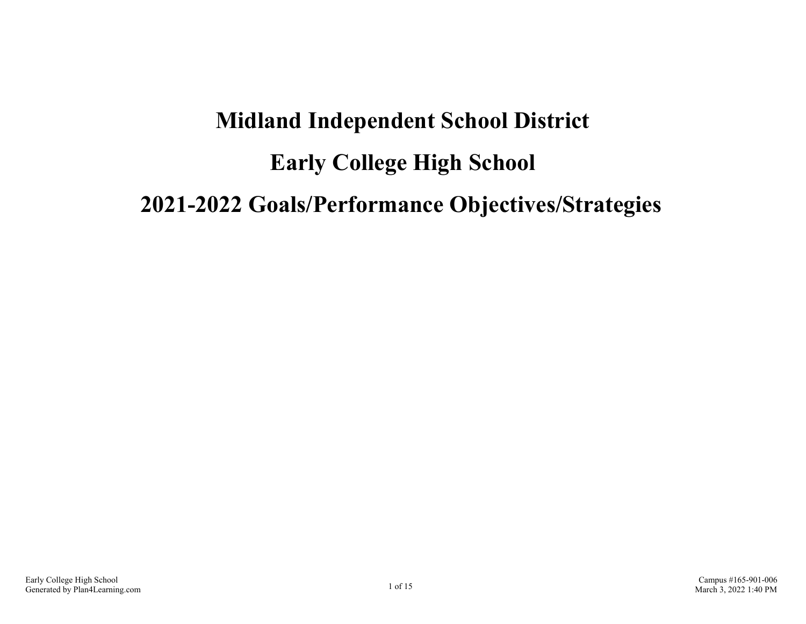# **Midland Independent School District Early College High School 2021-2022 Goals/Performance Objectives/Strategies**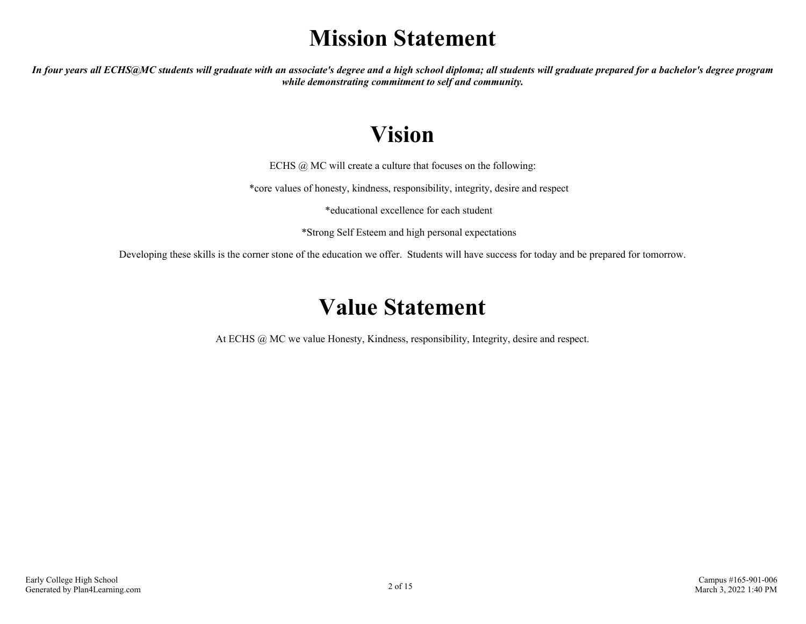# **Mission Statement**

*In four years all ECHS@MC students will graduate with an associate's degree and a high school diploma; all students will graduate prepared for a bachelor's degree program while demonstrating commitment to self and community.*

# **Vision**

ECHS @ MC will create a culture that focuses on the following:

\*core values of honesty, kindness, responsibility, integrity, desire and respect

\*educational excellence for each student

\*Strong Self Esteem and high personal expectations

Developing these skills is the corner stone of the education we offer. Students will have success for today and be prepared for tomorrow.

## **Value Statement**

At ECHS @ MC we value Honesty, Kindness, responsibility, Integrity, desire and respect.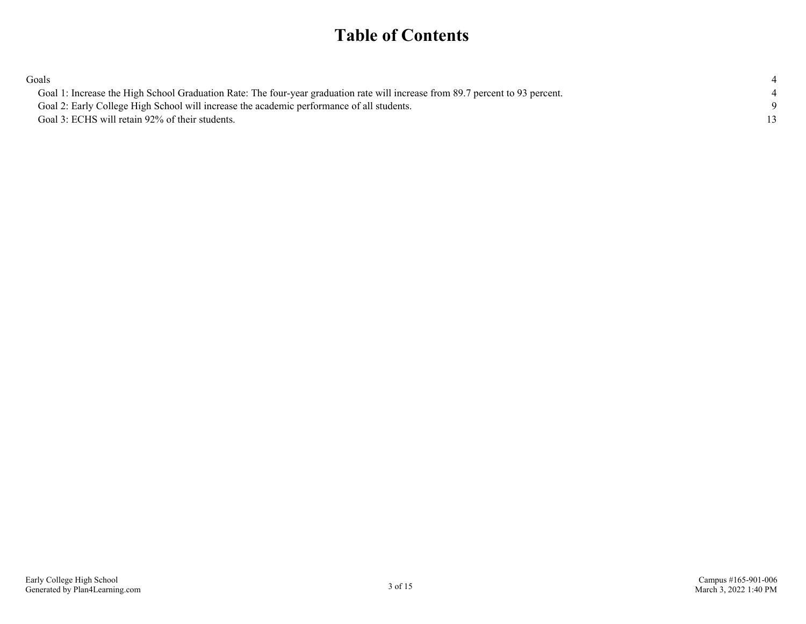### **Table of Contents**

| Goals                                                                                                                          |  |
|--------------------------------------------------------------------------------------------------------------------------------|--|
| Goal 1: Increase the High School Graduation Rate: The four-year graduation rate will increase from 89.7 percent to 93 percent. |  |
| Goal 2: Early College High School will increase the academic performance of all students.                                      |  |
| Goal 3: ECHS will retain 92% of their students.                                                                                |  |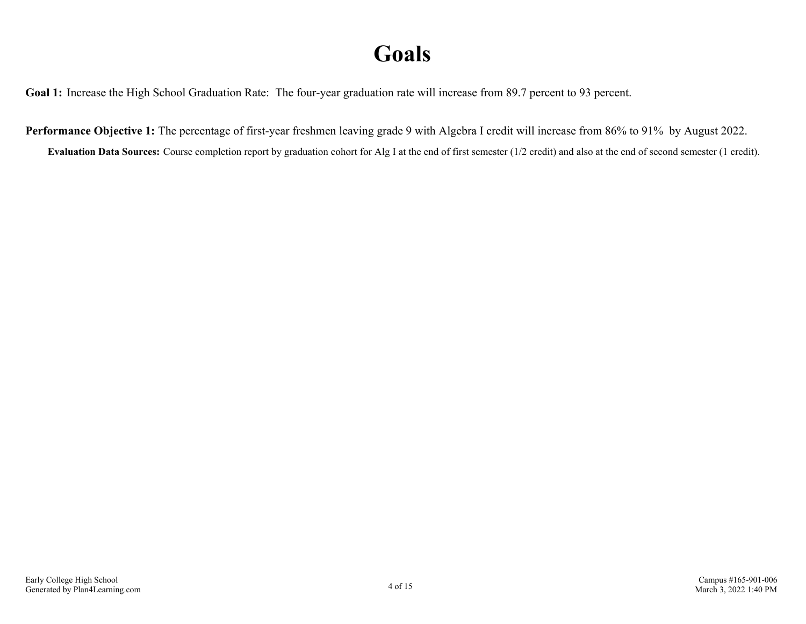# **Goals**

<span id="page-3-0"></span>Goal 1: Increase the High School Graduation Rate: The four-year graduation rate will increase from 89.7 percent to 93 percent.

**Performance Objective 1:** The percentage of first-year freshmen leaving grade 9 with Algebra I credit will increase from 86% to 91% by August 2022.

**Evaluation Data Sources:** Course completion report by graduation cohort for Alg I at the end of first semester (1/2 credit) and also at the end of second semester (1 credit).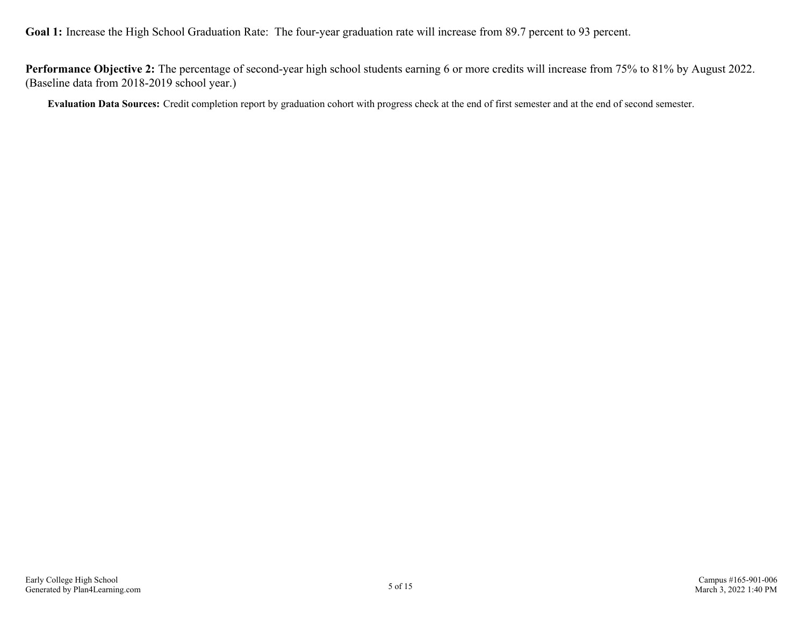Goal 1: Increase the High School Graduation Rate: The four-year graduation rate will increase from 89.7 percent to 93 percent.

**Performance Objective 2:** The percentage of second-year high school students earning 6 or more credits will increase from 75% to 81% by August 2022. (Baseline data from 2018-2019 school year.)

**Evaluation Data Sources:** Credit completion report by graduation cohort with progress check at the end of first semester and at the end of second semester.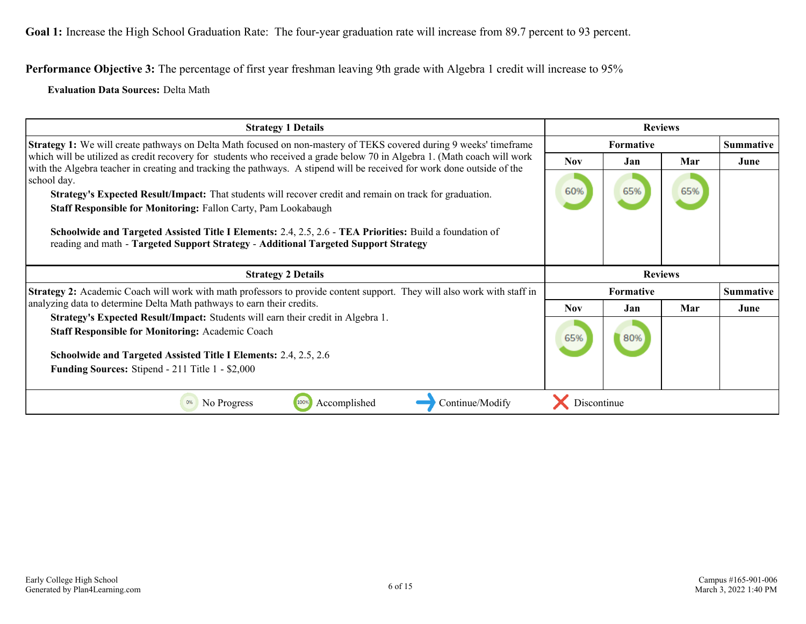**Performance Objective 3:** The percentage of first year freshman leaving 9th grade with Algebra 1 credit will increase to 95%

**Evaluation Data Sources:** Delta Math

| <b>Strategy 1 Details</b>                                                                                                                                                                                                                           |                  | <b>Reviews</b> |     |                  |
|-----------------------------------------------------------------------------------------------------------------------------------------------------------------------------------------------------------------------------------------------------|------------------|----------------|-----|------------------|
| <b>Strategy 1:</b> We will create pathways on Delta Math focused on non-mastery of TEKS covered during 9 weeks' timeframe                                                                                                                           | Formative        |                |     | <b>Summative</b> |
| which will be utilized as credit recovery for students who received a grade below 70 in Algebra 1. (Math coach will work<br>with the Algebra teacher in creating and tracking the pathways. A stipend will be received for work done outside of the | <b>Nov</b>       | Jan            | Mar | June             |
| school day.                                                                                                                                                                                                                                         |                  |                |     |                  |
| Strategy's Expected Result/Impact: That students will recover credit and remain on track for graduation.                                                                                                                                            | 60%              | 65%            | 65% |                  |
| <b>Staff Responsible for Monitoring: Fallon Carty, Pam Lookabaugh</b>                                                                                                                                                                               |                  |                |     |                  |
| Schoolwide and Targeted Assisted Title I Elements: 2.4, 2.5, 2.6 - TEA Priorities: Build a foundation of<br>reading and math - Targeted Support Strategy - Additional Targeted Support Strategy                                                     |                  |                |     |                  |
|                                                                                                                                                                                                                                                     |                  |                |     |                  |
| <b>Strategy 2 Details</b>                                                                                                                                                                                                                           |                  | <b>Reviews</b> |     |                  |
| Strategy 2: Academic Coach will work with math professors to provide content support. They will also work with staff in                                                                                                                             | <b>Formative</b> |                |     | <b>Summative</b> |
| analyzing data to determine Delta Math pathways to earn their credits.                                                                                                                                                                              | <b>Nov</b>       | Jan.           | Mar | June             |
| Strategy's Expected Result/Impact: Students will earn their credit in Algebra 1.                                                                                                                                                                    |                  |                |     |                  |
| <b>Staff Responsible for Monitoring: Academic Coach</b>                                                                                                                                                                                             | 65%              | 80%            |     |                  |
| <b>Schoolwide and Targeted Assisted Title I Elements: 2.4, 2.5, 2.6</b>                                                                                                                                                                             |                  |                |     |                  |
| Funding Sources: Stipend - 211 Title 1 - \$2,000                                                                                                                                                                                                    |                  |                |     |                  |
|                                                                                                                                                                                                                                                     |                  |                |     |                  |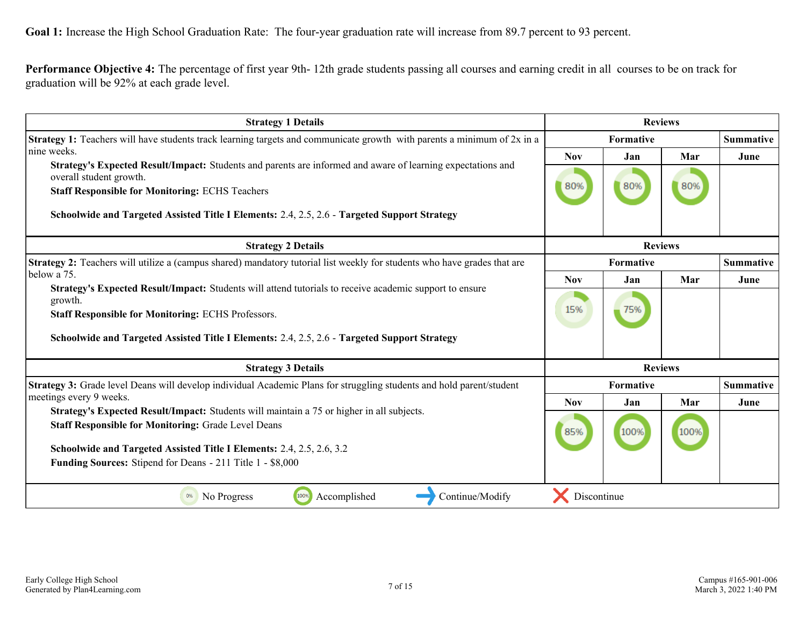**Performance Objective 4:** The percentage of first year 9th- 12th grade students passing all courses and earning credit in all courses to be on track for graduation will be 92% at each grade level.

| <b>Strategy 1 Details</b>                                                                                                              | <b>Reviews</b>                |           |                |                  |  |  |                  |
|----------------------------------------------------------------------------------------------------------------------------------------|-------------------------------|-----------|----------------|------------------|--|--|------------------|
| Strategy 1: Teachers will have students track learning targets and communicate growth with parents a minimum of 2x in a                | <b>Summative</b><br>Formative |           |                |                  |  |  |                  |
| nine weeks.                                                                                                                            | <b>Nov</b>                    | Jan       | Mar            | June             |  |  |                  |
| Strategy's Expected Result/Impact: Students and parents are informed and aware of learning expectations and<br>overall student growth. |                               |           |                |                  |  |  |                  |
| <b>Staff Responsible for Monitoring: ECHS Teachers</b>                                                                                 | 80%                           | 80%       | 80%            |                  |  |  |                  |
| Schoolwide and Targeted Assisted Title I Elements: 2.4, 2.5, 2.6 - Targeted Support Strategy                                           |                               |           |                |                  |  |  |                  |
| <b>Strategy 2 Details</b>                                                                                                              |                               |           | <b>Reviews</b> |                  |  |  |                  |
| Strategy 2: Teachers will utilize a (campus shared) mandatory tutorial list weekly for students who have grades that are               | Formative                     |           |                |                  |  |  | <b>Summative</b> |
| below a 75.<br>Strategy's Expected Result/Impact: Students will attend tutorials to receive academic support to ensure<br>growth.      | <b>Nov</b>                    | Jan       | Mar            | June             |  |  |                  |
|                                                                                                                                        |                               |           |                |                  |  |  |                  |
| <b>Staff Responsible for Monitoring: ECHS Professors.</b>                                                                              |                               | 75%       |                |                  |  |  |                  |
| Schoolwide and Targeted Assisted Title I Elements: 2.4, 2.5, 2.6 - Targeted Support Strategy                                           |                               |           |                |                  |  |  |                  |
| <b>Strategy 3 Details</b>                                                                                                              |                               |           | <b>Reviews</b> |                  |  |  |                  |
| Strategy 3: Grade level Deans will develop individual Academic Plans for struggling students and hold parent/student                   |                               | Formative |                | <b>Summative</b> |  |  |                  |
| meetings every 9 weeks.                                                                                                                | <b>Nov</b>                    | Jan       | Mar            | June             |  |  |                  |
| Strategy's Expected Result/Impact: Students will maintain a 75 or higher in all subjects.                                              | 85%                           |           | 100%           |                  |  |  |                  |
| <b>Staff Responsible for Monitoring: Grade Level Deans</b>                                                                             |                               | 100%      |                |                  |  |  |                  |
| Schoolwide and Targeted Assisted Title I Elements: 2.4, 2.5, 2.6, 3.2                                                                  |                               |           |                |                  |  |  |                  |
| <b>Funding Sources:</b> Stipend for Deans - 211 Title 1 - \$8,000                                                                      |                               |           |                |                  |  |  |                  |
| 100%<br>Continue/Modify<br>Accomplished<br>0%<br>No Progress                                                                           | Discontinue                   |           |                |                  |  |  |                  |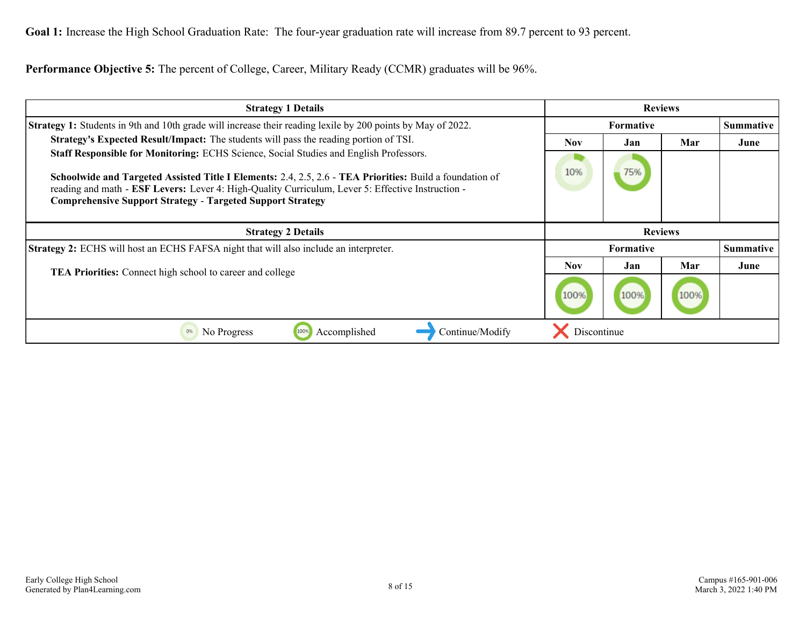Goal 1: Increase the High School Graduation Rate: The four-year graduation rate will increase from 89.7 percent to 93 percent.

**Performance Objective 5:** The percent of College, Career, Military Ready (CCMR) graduates will be 96%.

| <b>Strategy 1 Details</b>                                                                                                                                                                                                                                                                                                                                                    | <b>Reviews</b>   |                  |      |                  |
|------------------------------------------------------------------------------------------------------------------------------------------------------------------------------------------------------------------------------------------------------------------------------------------------------------------------------------------------------------------------------|------------------|------------------|------|------------------|
| <b>Strategy 1:</b> Students in 9th and 10th grade will increase their reading lexile by 200 points by May of 2022.                                                                                                                                                                                                                                                           | <b>Formative</b> |                  |      | Summative        |
| <b>Strategy's Expected Result/Impact:</b> The students will pass the reading portion of TSI.                                                                                                                                                                                                                                                                                 | <b>Nov</b>       | Jan              | Mar  | June             |
| Staff Responsible for Monitoring: ECHS Science, Social Studies and English Professors.<br>Schoolwide and Targeted Assisted Title I Elements: 2.4, 2.5, 2.6 - TEA Priorities: Build a foundation of<br>reading and math - ESF Levers: Lever 4: High-Quality Curriculum, Lever 5: Effective Instruction -<br><b>Comprehensive Support Strategy - Targeted Support Strategy</b> | 10%              | 75%              |      |                  |
|                                                                                                                                                                                                                                                                                                                                                                              |                  |                  |      |                  |
| <b>Strategy 2 Details</b>                                                                                                                                                                                                                                                                                                                                                    |                  | <b>Reviews</b>   |      |                  |
| <b>Strategy 2:</b> ECHS will host an ECHS FAFSA night that will also include an interpreter.                                                                                                                                                                                                                                                                                 |                  | <b>Formative</b> |      | <b>Summative</b> |
|                                                                                                                                                                                                                                                                                                                                                                              | Nov.             | Jan              | Mar  | June             |
| <b>TEA Priorities:</b> Connect high school to career and college                                                                                                                                                                                                                                                                                                             | 100%             | 100%             | 100% |                  |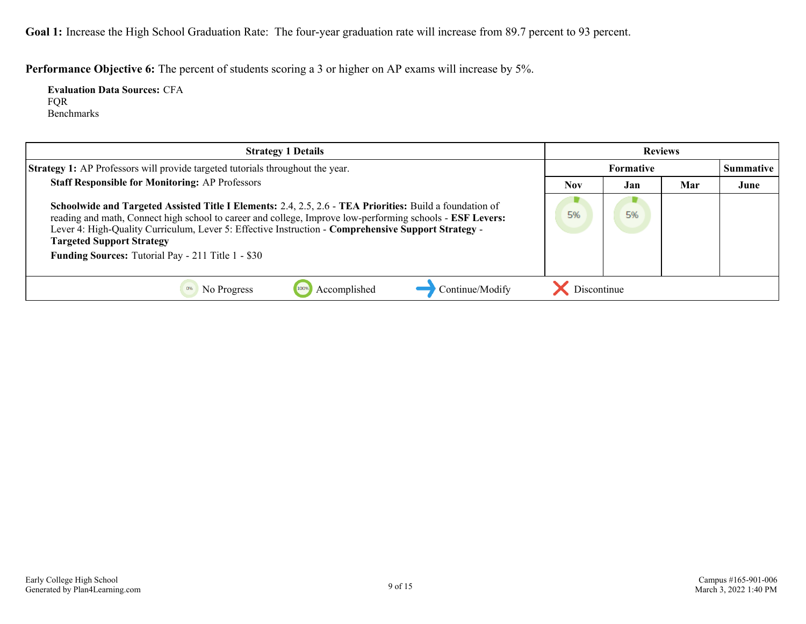Goal 1: Increase the High School Graduation Rate: The four-year graduation rate will increase from 89.7 percent to 93 percent.

**Performance Objective 6:** The percent of students scoring a 3 or higher on AP exams will increase by 5%.

**Evaluation Data Sources:** CFA FQR Benchmarks

| <b>Strategy 1 Details</b>                                                                                                                                                                                                                                                                                                                                                                                              | <b>Reviews</b>   |     |                  |      |
|------------------------------------------------------------------------------------------------------------------------------------------------------------------------------------------------------------------------------------------------------------------------------------------------------------------------------------------------------------------------------------------------------------------------|------------------|-----|------------------|------|
| <b>Strategy 1:</b> AP Professors will provide targeted tutorials throughout the year.                                                                                                                                                                                                                                                                                                                                  | <b>Formative</b> |     | <b>Summative</b> |      |
| <b>Staff Responsible for Monitoring: AP Professors</b>                                                                                                                                                                                                                                                                                                                                                                 | Nov              | Jan | Mar              | June |
| Schoolwide and Targeted Assisted Title I Elements: 2.4, 2.5, 2.6 - TEA Priorities: Build a foundation of<br>reading and math, Connect high school to career and college, Improve low-performing schools - ESF Levers:<br>Lever 4: High-Quality Curriculum, Lever 5: Effective Instruction - Comprehensive Support Strategy -<br><b>Targeted Support Strategy</b><br>Funding Sources: Tutorial Pay - 211 Title 1 - \$30 | 5%               | 5%  |                  |      |
| Accomplished<br>Continue/Modify<br>No Progress<br>100%                                                                                                                                                                                                                                                                                                                                                                 | Discontinue      |     |                  |      |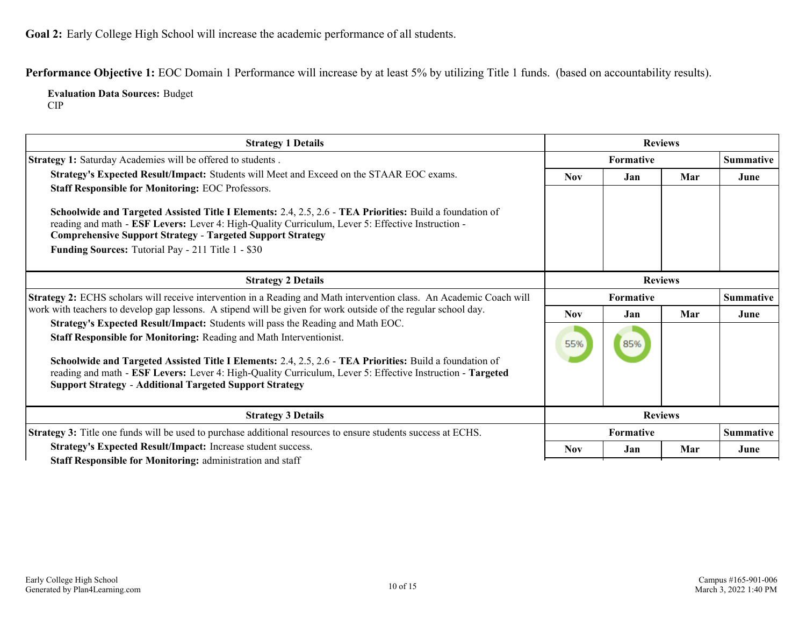<span id="page-9-0"></span>**Goal 2:** Early College High School will increase the academic performance of all students.

**Performance Objective 1:** EOC Domain 1 Performance will increase by at least 5% by utilizing Title 1 funds. (based on accountability results).

**Evaluation Data Sources:** Budget CIP

| <b>Strategy 1 Details</b>                                                                                                                                                                                                                                                                                                                                                                                                                                                                        | <b>Reviews</b>   |                  |     |                  |
|--------------------------------------------------------------------------------------------------------------------------------------------------------------------------------------------------------------------------------------------------------------------------------------------------------------------------------------------------------------------------------------------------------------------------------------------------------------------------------------------------|------------------|------------------|-----|------------------|
| <b>Strategy 1:</b> Saturday Academies will be offered to students.                                                                                                                                                                                                                                                                                                                                                                                                                               | <b>Formative</b> |                  |     | <b>Summative</b> |
| Strategy's Expected Result/Impact: Students will Meet and Exceed on the STAAR EOC exams.<br><b>Staff Responsible for Monitoring: EOC Professors.</b><br>Schoolwide and Targeted Assisted Title I Elements: 2.4, 2.5, 2.6 - TEA Priorities: Build a foundation of<br>reading and math - ESF Levers: Lever 4: High-Quality Curriculum, Lever 5: Effective Instruction -<br><b>Comprehensive Support Strategy - Targeted Support Strategy</b><br>Funding Sources: Tutorial Pay - 211 Title 1 - \$30 | <b>Nov</b>       | Jan              | Mar | June             |
| <b>Strategy 2 Details</b>                                                                                                                                                                                                                                                                                                                                                                                                                                                                        | <b>Reviews</b>   |                  |     |                  |
| Strategy 2: ECHS scholars will receive intervention in a Reading and Math intervention class. An Academic Coach will                                                                                                                                                                                                                                                                                                                                                                             | <b>Formative</b> |                  |     | <b>Summative</b> |
| work with teachers to develop gap lessons. A stipend will be given for work outside of the regular school day.                                                                                                                                                                                                                                                                                                                                                                                   | <b>Nov</b>       | Jan              | Mar | June             |
| Strategy's Expected Result/Impact: Students will pass the Reading and Math EOC.<br>Staff Responsible for Monitoring: Reading and Math Interventionist.<br>Schoolwide and Targeted Assisted Title I Elements: 2.4, 2.5, 2.6 - TEA Priorities: Build a foundation of<br>reading and math - ESF Levers: Lever 4: High-Quality Curriculum, Lever 5: Effective Instruction - Targeted<br><b>Support Strategy - Additional Targeted Support Strategy</b>                                               | 55%              | 85%              |     |                  |
| <b>Strategy 3 Details</b>                                                                                                                                                                                                                                                                                                                                                                                                                                                                        |                  | <b>Reviews</b>   |     |                  |
| Strategy 3: Title one funds will be used to purchase additional resources to ensure students success at ECHS.                                                                                                                                                                                                                                                                                                                                                                                    |                  | <b>Formative</b> |     | <b>Summative</b> |
| Strategy's Expected Result/Impact: Increase student success.<br>Staff Responsible for Monitoring: administration and staff                                                                                                                                                                                                                                                                                                                                                                       | <b>Nov</b>       | Jan              | Mar | June             |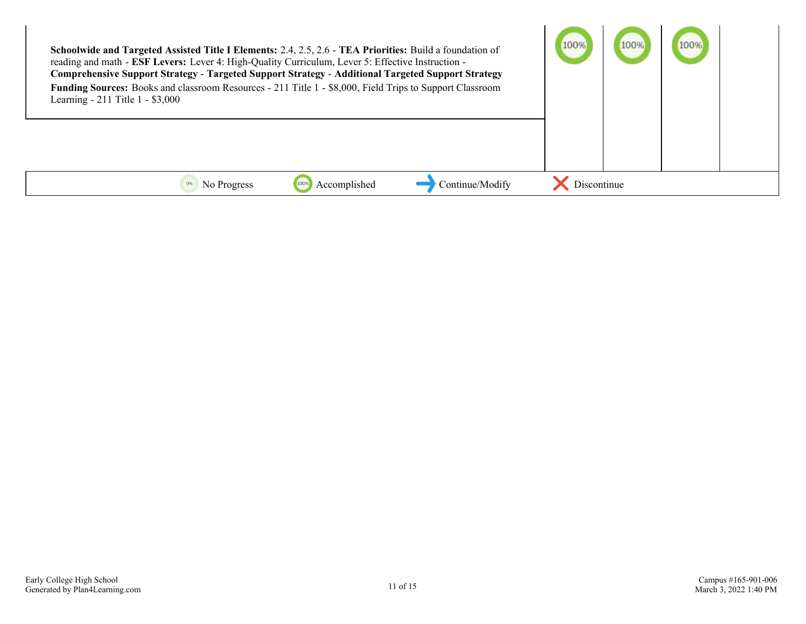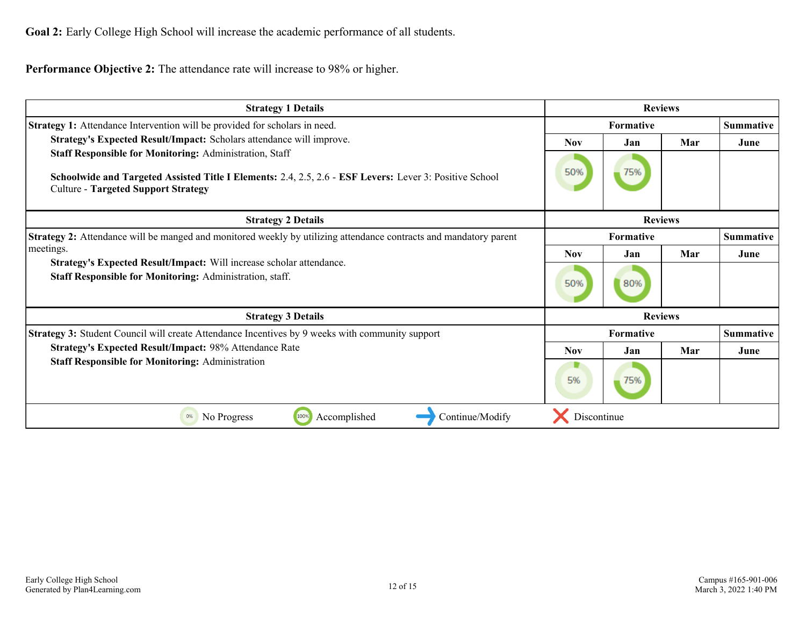**Goal 2:** Early College High School will increase the academic performance of all students.

**Performance Objective 2:** The attendance rate will increase to 98% or higher.

| <b>Strategy 1 Details</b>                                                                                                                             | <b>Reviews</b>   |                |     |                  |
|-------------------------------------------------------------------------------------------------------------------------------------------------------|------------------|----------------|-----|------------------|
| <b>Strategy 1:</b> Attendance Intervention will be provided for scholars in need.                                                                     | <b>Formative</b> |                |     | <b>Summative</b> |
| Strategy's Expected Result/Impact: Scholars attendance will improve.                                                                                  |                  | Jan            | Mar | June             |
| <b>Staff Responsible for Monitoring: Administration, Staff</b>                                                                                        |                  |                |     |                  |
| Schoolwide and Targeted Assisted Title I Elements: 2.4, 2.5, 2.6 - ESF Levers: Lever 3: Positive School<br><b>Culture - Targeted Support Strategy</b> | 50%              | 75%            |     |                  |
| <b>Strategy 2 Details</b>                                                                                                                             |                  | <b>Reviews</b> |     |                  |
| Strategy 2: Attendance will be manged and monitored weekly by utilizing attendance contracts and mandatory parent                                     |                  | Formative      |     | <b>Summative</b> |
| meetings.                                                                                                                                             | <b>Nov</b>       | Jan            | Mar | June             |
| Strategy's Expected Result/Impact: Will increase scholar attendance.<br>Staff Responsible for Monitoring: Administration, staff.                      |                  | 80%            |     |                  |
| <b>Strategy 3 Details</b>                                                                                                                             | <b>Reviews</b>   |                |     |                  |
| <b>Strategy 3:</b> Student Council will create Attendance Incentives by 9 weeks with community support                                                |                  | Formative      |     | <b>Summative</b> |
| Strategy's Expected Result/Impact: 98% Attendance Rate                                                                                                | <b>Nov</b>       | Jan            | Mar | June             |
| <b>Staff Responsible for Monitoring: Administration</b>                                                                                               | 5%               | 75%            |     |                  |
| 100%<br>Accomplished<br>Continue/Modify<br>0%<br>No Progress                                                                                          | Discontinue      |                |     |                  |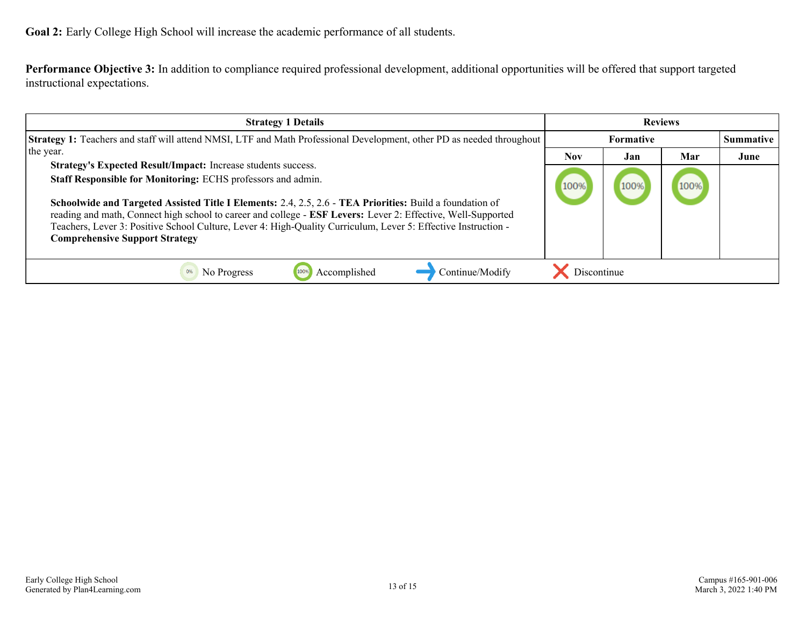**Goal 2:** Early College High School will increase the academic performance of all students.

**Performance Objective 3:** In addition to compliance required professional development, additional opportunities will be offered that support targeted instructional expectations.

| <b>Strategy 1 Details</b>                                                                                                                                                                                                                                                                                                                                                                                                                                                                                            | <b>Reviews</b> |      |      |           |
|----------------------------------------------------------------------------------------------------------------------------------------------------------------------------------------------------------------------------------------------------------------------------------------------------------------------------------------------------------------------------------------------------------------------------------------------------------------------------------------------------------------------|----------------|------|------|-----------|
| Strategy 1: Teachers and staff will attend NMSI, LTF and Math Professional Development, other PD as needed throughout                                                                                                                                                                                                                                                                                                                                                                                                | Formative      |      |      | Summative |
| the year.                                                                                                                                                                                                                                                                                                                                                                                                                                                                                                            | <b>Nov</b>     | Jan  | Mar  | June      |
| Strategy's Expected Result/Impact: Increase students success.<br>Staff Responsible for Monitoring: ECHS professors and admin.<br>Schoolwide and Targeted Assisted Title I Elements: 2.4, 2.5, 2.6 - TEA Priorities: Build a foundation of<br>reading and math, Connect high school to career and college - ESF Levers: Lever 2: Effective, Well-Supported<br>Teachers, Lever 3: Positive School Culture, Lever 4: High-Quality Curriculum, Lever 5: Effective Instruction -<br><b>Comprehensive Support Strategy</b> | 100%           | 100% | 100% |           |
| Continue/Modify<br>Accomplished<br>No Progress                                                                                                                                                                                                                                                                                                                                                                                                                                                                       | Discontinue    |      |      |           |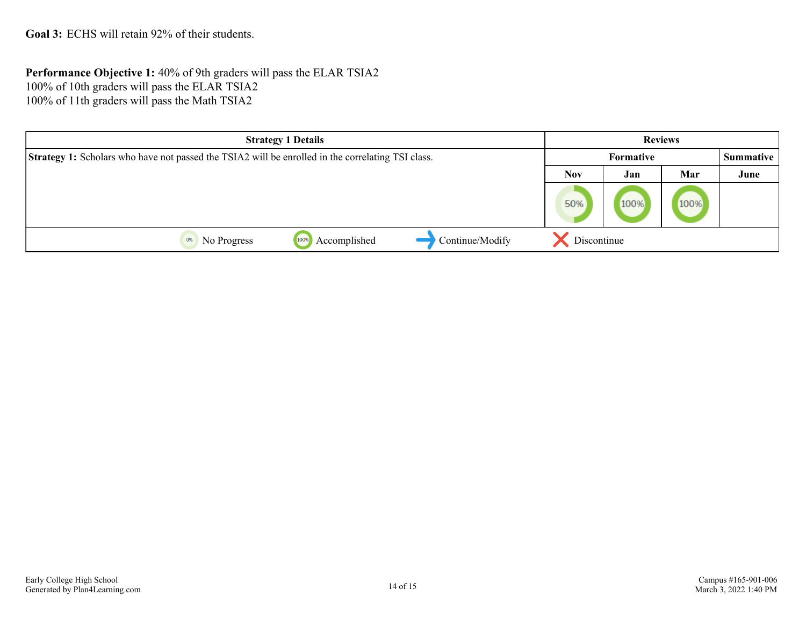<span id="page-13-0"></span>**Goal 3:** ECHS will retain 92% of their students.

**Performance Objective 1:** 40% of 9th graders will pass the ELAR TSIA2 100% of 10th graders will pass the ELAR TSIA2 100% of 11th graders will pass the Math TSIA2

| <b>Strategy 1 Details</b>                                                                                |                      |                 |             | <b>Reviews</b> |      |      |
|----------------------------------------------------------------------------------------------------------|----------------------|-----------------|-------------|----------------|------|------|
| <b>Strategy 1:</b> Scholars who have not passed the TSIA2 will be enrolled in the correlating TSI class. |                      |                 |             | Formative      |      |      |
|                                                                                                          |                      |                 | <b>Nov</b>  | Jan            | Mar  | June |
|                                                                                                          |                      |                 | 50%         | 100%           | 100% |      |
| No Progress                                                                                              | Accomplished<br>100% | Continue/Modify | Discontinue |                |      |      |